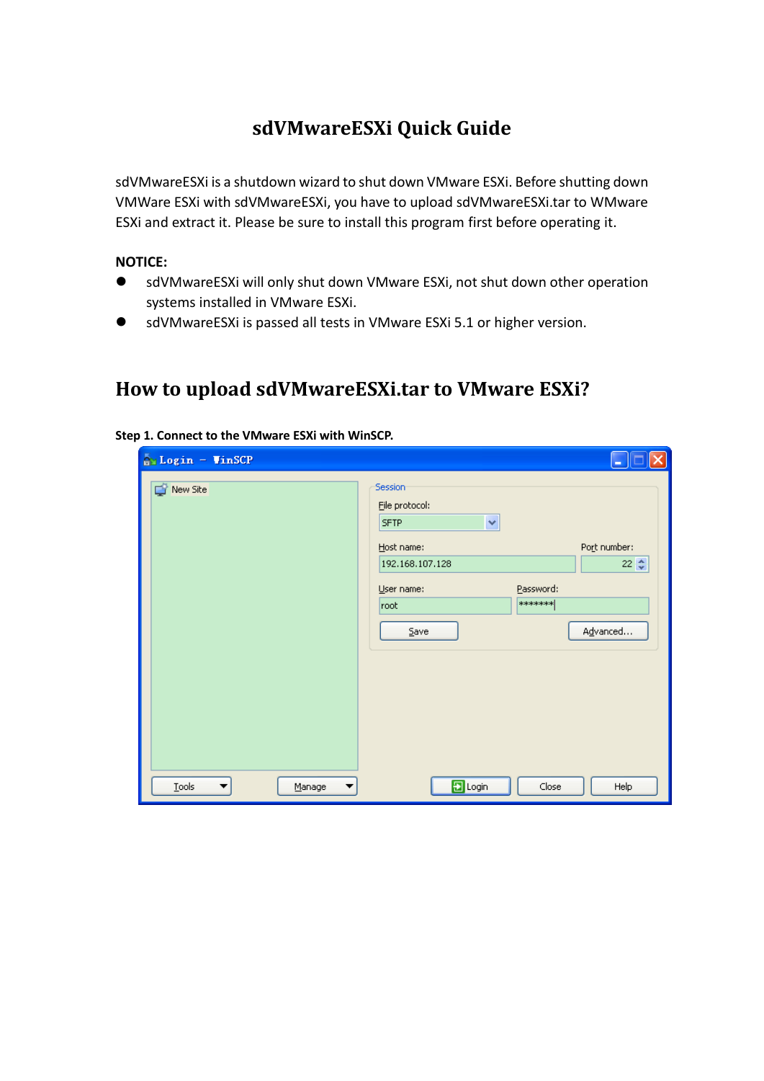## **sdVMwareESXi Quick Guide**

sdVMwareESXi is a shutdown wizard to shut down VMware ESXi. Before shutting down VMWare ESXi with sdVMwareESXi, you have to upload sdVMwareESXi.tar to WMware ESXi and extract it. Please be sure to install this program first before operating it.

#### **NOTICE:**

- sdVMwareESXi will only shut down VMware ESXi, not shut down other operation systems installed in VMware ESXi.
- sdVMwareESXi is passed all tests in VMware ESXi 5.1 or higher version.

## **How to upload sdVMwareESXi.tar to VMware ESXi?**

| New Site | Session          |           |                  |
|----------|------------------|-----------|------------------|
|          | File protocol:   |           |                  |
|          | ×<br><b>SFTP</b> |           |                  |
|          | Host name:       |           | Port number:     |
|          | 192.168.107.128  |           | 22 $\frac{A}{V}$ |
|          | User name:       | Password: |                  |
|          | root             | *******   |                  |
|          | Save             |           | Advanced         |
|          |                  |           |                  |
|          |                  |           |                  |
|          |                  |           |                  |
|          |                  |           |                  |
|          |                  |           |                  |
|          |                  |           |                  |

#### **Step 1. Connect to the VMware ESXi with WinSCP.**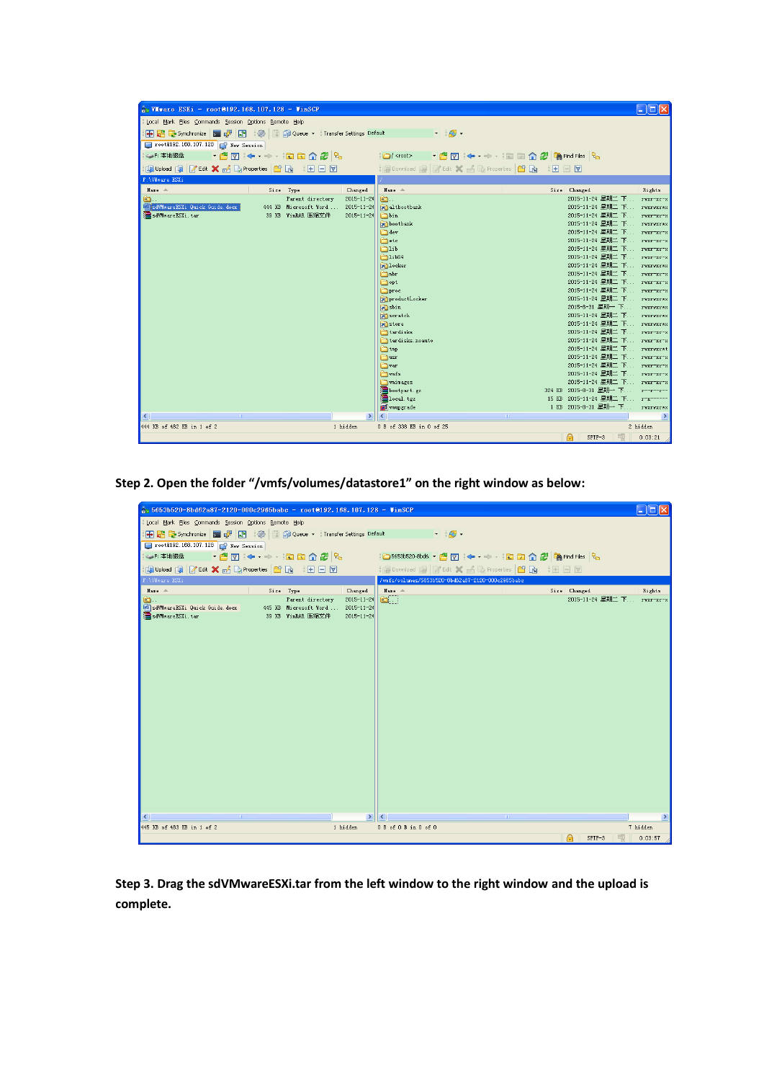| <b>Ay VIvare ESXi - root@192.168.107.128 - VinSCP</b>                      |                                                                              | L IDI                                                    |  |  |  |  |  |  |  |  |
|----------------------------------------------------------------------------|------------------------------------------------------------------------------|----------------------------------------------------------|--|--|--|--|--|--|--|--|
| Local Mark Files Commands Session Options Remote Help                      |                                                                              |                                                          |  |  |  |  |  |  |  |  |
|                                                                            |                                                                              |                                                          |  |  |  |  |  |  |  |  |
| 中居 Synchronize 国 ア 同 後 同 命 Queue v Transfer Settings Default<br>$-16$      |                                                                              |                                                          |  |  |  |  |  |  |  |  |
| root@192.168.107.128 F New Session                                         |                                                                              |                                                          |  |  |  |  |  |  |  |  |
| 「名団↓→→→ 自由介名 Barndriles Ba<br>SaF: 本地磁盘<br>$\Box$ <root></root>            |                                                                              |                                                          |  |  |  |  |  |  |  |  |
| Gi Upload Gi Z Edit X & C Properties B G H H H V                           | <b>B</b> Download B Z Edit X A B Properties <b>B B</b> I <b>H</b> E <b>V</b> |                                                          |  |  |  |  |  |  |  |  |
| F:\VMware ESXi                                                             |                                                                              |                                                          |  |  |  |  |  |  |  |  |
| Name -<br>Size Type<br>Changed                                             | Name 4                                                                       | Size Changed<br>Rights                                   |  |  |  |  |  |  |  |  |
| Parent directory<br>$2015 - 11 - 24$<br>Đ.                                 | b.                                                                           | 2015-11-24 星期二 下 rwxr-xr-x                               |  |  |  |  |  |  |  |  |
| sdVMwareESXi Quick Guide.docx<br>444 KB Microsoft Word<br>$2015 - 11 - 24$ | altbootbank                                                                  | 2015-11-24 星期二 下 rwxrwxrwx                               |  |  |  |  |  |  |  |  |
| sdVMwareESXi.tar<br>39 KB WinRAR 压缩文件<br>$2015 - 11 - 24$                  | ∩bin                                                                         | 2015-11-24 星期二 下 rwxr-xr-x                               |  |  |  |  |  |  |  |  |
|                                                                            | bootbank                                                                     | 2015-11-24 星期二 下 rwxrwxrwx                               |  |  |  |  |  |  |  |  |
|                                                                            | dev                                                                          | 2015-11-24 星期二 下 rwxr-xr-x                               |  |  |  |  |  |  |  |  |
|                                                                            | <b>C</b> etc                                                                 | 2015-11-24 星期二 下 rwxr-xr-x                               |  |  |  |  |  |  |  |  |
|                                                                            | <b>E</b> lib                                                                 | 2015-11-24 星期二 下 rwxr-xr-x                               |  |  |  |  |  |  |  |  |
|                                                                            | <b>21ib64</b>                                                                | 2015-11-24 星期二 下 rwxr-xr-x                               |  |  |  |  |  |  |  |  |
|                                                                            | an locker                                                                    | 2015-11-24 星期二 下 rwxrwxrwx                               |  |  |  |  |  |  |  |  |
|                                                                            | <b>O</b> nbr                                                                 | 2015-11-24 星期二 下 rwxr-xr-x                               |  |  |  |  |  |  |  |  |
|                                                                            | nopt                                                                         | 2015-11-24 星期二 下 rwxr-xr-x                               |  |  |  |  |  |  |  |  |
|                                                                            | proc                                                                         | 2015-11-24 星期二 下 rwxr-xr-x                               |  |  |  |  |  |  |  |  |
|                                                                            | a productLocker                                                              | 2015-11-24 星期二 下 rwxrwxrwx                               |  |  |  |  |  |  |  |  |
|                                                                            | <b>R</b> isbin                                                               | 2015-8-31 星期一 下<br>rwxrwxrwx                             |  |  |  |  |  |  |  |  |
|                                                                            | scratch                                                                      | 2015-11-24 星期二 下 rwxrwxrwx                               |  |  |  |  |  |  |  |  |
|                                                                            | an store                                                                     | 2015-11-24 星期二 下 rwxrwxrwx                               |  |  |  |  |  |  |  |  |
|                                                                            | tardisks                                                                     | 2015-11-24 星期二 下 rwxr-xr-x                               |  |  |  |  |  |  |  |  |
|                                                                            | tardisks. noauto                                                             | 2015-11-24 星期二 下 rwxr-xr-x                               |  |  |  |  |  |  |  |  |
|                                                                            | <b>E</b> tmp                                                                 | 2015-11-24 星期二 下 rwxrwxrwt<br>2015-11-24 星期二 下 rwxr-xr-x |  |  |  |  |  |  |  |  |
|                                                                            | ∩usr                                                                         | 2015-11-24 星期二 下 rwxr-xr-x                               |  |  |  |  |  |  |  |  |
|                                                                            | ∩िvar                                                                        | 2015-11-24 星期二 下 rwxr-xr-x                               |  |  |  |  |  |  |  |  |
|                                                                            | $\bigcap$ vn fs<br><b>The Villages</b>                                       | 2015-11-24 星期二 下 rwxr-xr-x                               |  |  |  |  |  |  |  |  |
|                                                                            | Bootpart.gz                                                                  | 324 KB 2015-8-31 星期一 下<br>$r = r - r$                    |  |  |  |  |  |  |  |  |
|                                                                            | local. tgz                                                                   | 15 KB 2015-11-24 星期二 下 r-x------                         |  |  |  |  |  |  |  |  |
|                                                                            | on upgrade                                                                   | 1 KB 2015-8-31 星期一 下<br>rwxrwxrwx                        |  |  |  |  |  |  |  |  |
| ≺                                                                          | $\rightarrow$                                                                | $\rightarrow$                                            |  |  |  |  |  |  |  |  |
| 444 KB of 482 KB in 1 of 2<br>1 hidden                                     | 0 B of 338 KB in 0 of 25                                                     | 2 hidden                                                 |  |  |  |  |  |  |  |  |
|                                                                            |                                                                              |                                                          |  |  |  |  |  |  |  |  |
|                                                                            |                                                                              | SFTP-3<br>0:03:21                                        |  |  |  |  |  |  |  |  |

**Step 2. Open the folder "/vmfs/volumes/datastore1" on the right window as below:**

| - 10<br>$\frac{1}{2}$ 5653b520-8bd62a87-2120-000c2965babc - root@192.168.107.128 - VinSCP                                                                                                |                                         |               |  |  |  |  |  |  |  |
|------------------------------------------------------------------------------------------------------------------------------------------------------------------------------------------|-----------------------------------------|---------------|--|--|--|--|--|--|--|
| Local Mark Files Commands Session Options Remote Help                                                                                                                                    |                                         |               |  |  |  |  |  |  |  |
| <b>田島阜</b> Synchronize   ■ 『图画』 ●   ■ 图 Queue ▼   Transfer Settings Default<br>$\blacksquare$                                                                                            |                                         |               |  |  |  |  |  |  |  |
| root@192.168.107.128 F New Session                                                                                                                                                       |                                         |               |  |  |  |  |  |  |  |
| - · 겸7 :← → · · · □□□ △ 2 : 2。<br> ○5653b520-8bd6;   <sup>各</sup> त   ← → →   <mark>白 面 介 2</mark>   全 Find Files   <mark>९</mark><br>SP: 本地磁盘                                           |                                         |               |  |  |  |  |  |  |  |
| Giupload Gi Z Edit X & C Properties B G H H H V<br>  200wnload 2   2 Edit X of Co Properties   白 同   田 回 図                                                                               |                                         |               |  |  |  |  |  |  |  |
| F:\VMware ESXi<br>/wmfs/volumes/5653b520-8bd62a87-2120-000c2965babc                                                                                                                      |                                         |               |  |  |  |  |  |  |  |
| Name $-$<br>Size Type<br>Changed                                                                                                                                                         | Size Changed<br>Name $-$                | Rights        |  |  |  |  |  |  |  |
| $2015 - 11 - 24$<br>Parent directory<br>$\bullet$ .<br>SdVMwareESXi Quick Guide.docx<br>445 KB Microsoft Word<br>2015-11-24<br>sdVMwareESXi.tar<br>39 KB WinRAR 压缩文件<br>$2015 - 11 - 24$ | 2015-11-24 星期二 下 rwxr-xr-x<br>$\bullet$ |               |  |  |  |  |  |  |  |
| $\rightarrow$<br>₹                                                                                                                                                                       | $\overline{\mathbf{R}}$                 | $\rightarrow$ |  |  |  |  |  |  |  |
| 445 KB of 483 KB in 1 of 2<br>1 hidden                                                                                                                                                   | 0 B of 0 B in 0 of 0                    | 7 hidden      |  |  |  |  |  |  |  |
|                                                                                                                                                                                          | $SFTP-3$                                | 0:03:57       |  |  |  |  |  |  |  |

**Step 3. Drag the sdVMwareESXi.tar from the left window to the right window and the upload is complete.**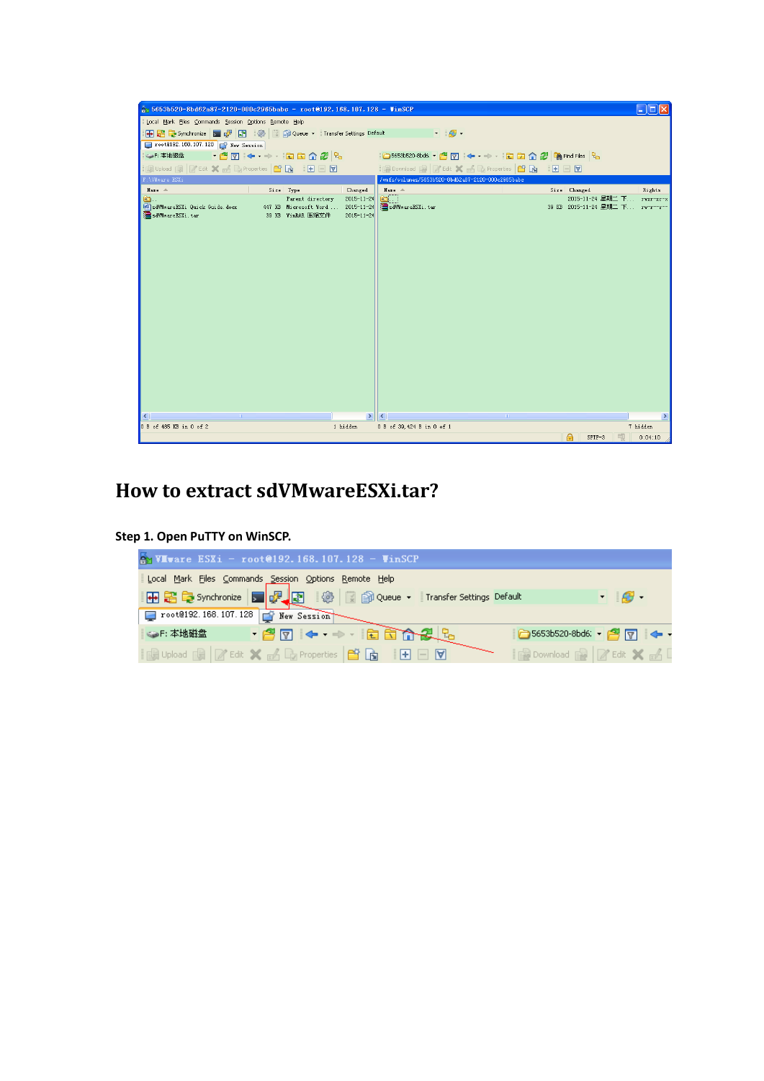| $5653b520-8b462a87-2120-000c2965babc$ - root@192.168.107.128 - VinSCP                                                    |                                                                |                                                          |                                                   |                                                               | <u>. In</u>   |  |  |  |
|--------------------------------------------------------------------------------------------------------------------------|----------------------------------------------------------------|----------------------------------------------------------|---------------------------------------------------|---------------------------------------------------------------|---------------|--|--|--|
| Local Mark Files Commands Session Options Remote Help                                                                    |                                                                |                                                          |                                                   |                                                               |               |  |  |  |
| <b>⊞BB</b> Synchronize ■ P B 第 1卷 图 @ Queue ▼ Transfer Settings Default<br>$\blacksquare$                                |                                                                |                                                          |                                                   |                                                               |               |  |  |  |
| root@192.168.107.128   New Session                                                                                       |                                                                |                                                          |                                                   |                                                               |               |  |  |  |
| ○5653b520-8bd6;   <sup>29</sup> 17   ← · → ·   <mark>白 白 介 2</mark>   A Find Files   <mark>9</mark><br>SP: 本地磁盘          |                                                                |                                                          |                                                   |                                                               |               |  |  |  |
| <b>Bupload BE ZEdit X of De Properties   DE BE E E DE DE</b><br>  2 Download 2   2 Edit X nd Do Properties   白 同   田 □ 回 |                                                                |                                                          |                                                   |                                                               |               |  |  |  |
| F:\VMware ESXi                                                                                                           |                                                                |                                                          | /wmfs/volumes/5653b520-8bd62a87-2120-000c2965babc |                                                               |               |  |  |  |
| Name -                                                                                                                   | Size Type                                                      | Changed                                                  | Name -                                            | Size Changed                                                  | Rights        |  |  |  |
| ð.<br>W sdVMwareESXi Quick Guide.docx<br>sdVMwareESXi.tar                                                                | Parent directory<br>447 KB Microsoft Word<br>39 KB WinRAR 压缩文件 | $2015 - 11 - 24$<br>$2015 - 11 - 24$<br>$2015 - 11 - 24$ | $\blacksquare$<br>sdVMwareESXi.tar                | 2015-11-24 星期二 下 rwxr-xr-x<br>39 KB 2015-11-24 星期二 下 rw-r--r- |               |  |  |  |
|                                                                                                                          |                                                                |                                                          |                                                   |                                                               |               |  |  |  |
|                                                                                                                          |                                                                |                                                          |                                                   |                                                               |               |  |  |  |
|                                                                                                                          |                                                                |                                                          |                                                   |                                                               |               |  |  |  |
|                                                                                                                          |                                                                |                                                          |                                                   |                                                               |               |  |  |  |
|                                                                                                                          |                                                                |                                                          |                                                   |                                                               |               |  |  |  |
|                                                                                                                          |                                                                |                                                          |                                                   |                                                               |               |  |  |  |
|                                                                                                                          |                                                                | $\rightarrow$                                            | ∣⊀                                                |                                                               | $\rightarrow$ |  |  |  |
| 0 B of 485 KB in 0 of 2                                                                                                  |                                                                | 1 hidden                                                 | 0 B of 39, 424 B in 0 of 1                        |                                                               | 7 hidden      |  |  |  |
|                                                                                                                          |                                                                |                                                          |                                                   | $\theta$<br>SFTP-3                                            | 0:04:10       |  |  |  |

# **How to extract sdVMwareESXi.tar?**

**Step 1. Open PuTTY on WinSCP.**

| <b>A VIvare ESXi - root@192.168.107.128 - VinSCP</b>                          |                                |  |  |  |  |  |  |
|-------------------------------------------------------------------------------|--------------------------------|--|--|--|--|--|--|
| Local Mark Eiles Commands Session Options Remote Help                         |                                |  |  |  |  |  |  |
| 田島阜 Synchronize   国品画   100   国品 Queue ▼   Transfer Settings Default          | $\blacksquare$                 |  |  |  |  |  |  |
|                                                                               |                                |  |  |  |  |  |  |
| <b>FET + + EEAZL</b><br>。 SF: 本地磁盘                                            |                                |  |  |  |  |  |  |
| <b>is Upload B &amp; Edit X of D</b> Properties <b>B &amp; I F</b> F <b>V</b> | <b>Download R Z Edit X M L</b> |  |  |  |  |  |  |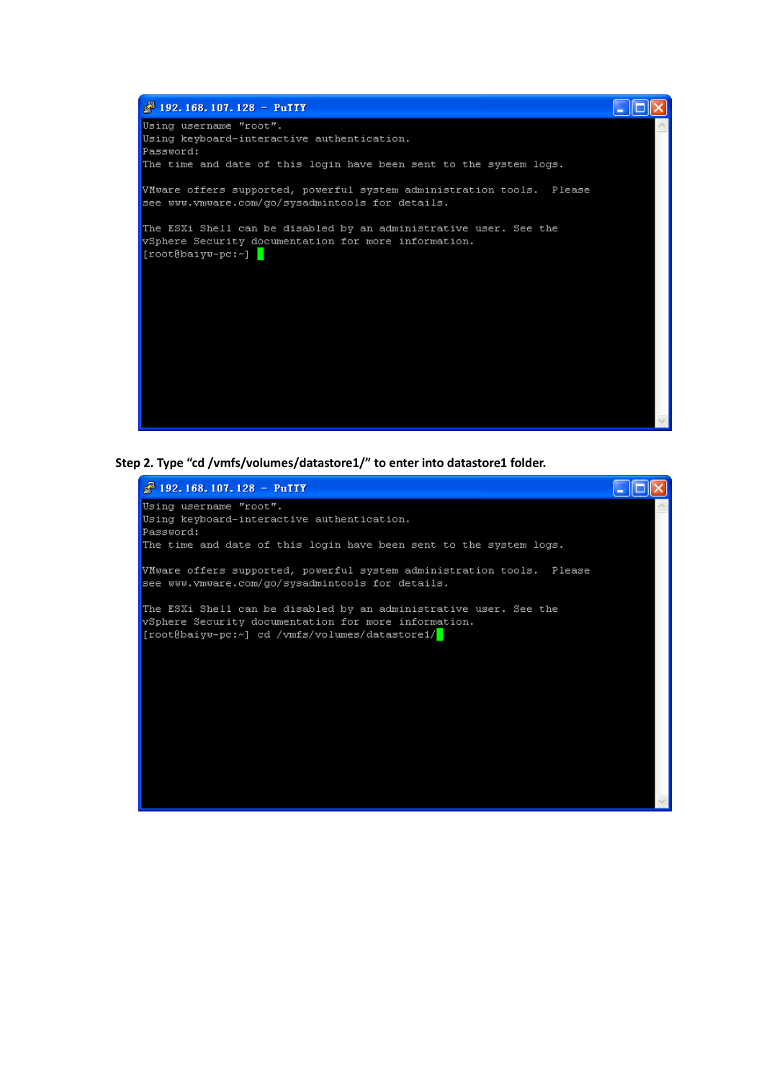

**Step 2. Type "cd /vmfs/volumes/datastore1/" to enter into datastore1 folder.**

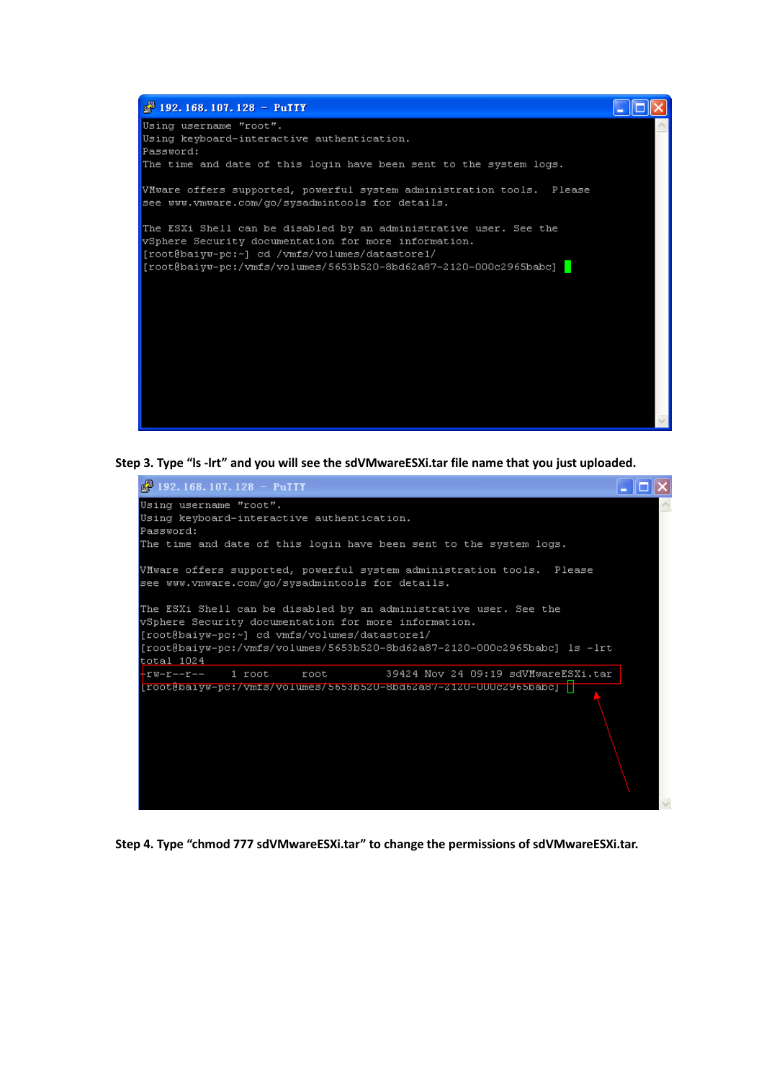

**Step 3. Type "ls -lrt" and you will see the sdVMwareESXi.tar file name that you just uploaded.**



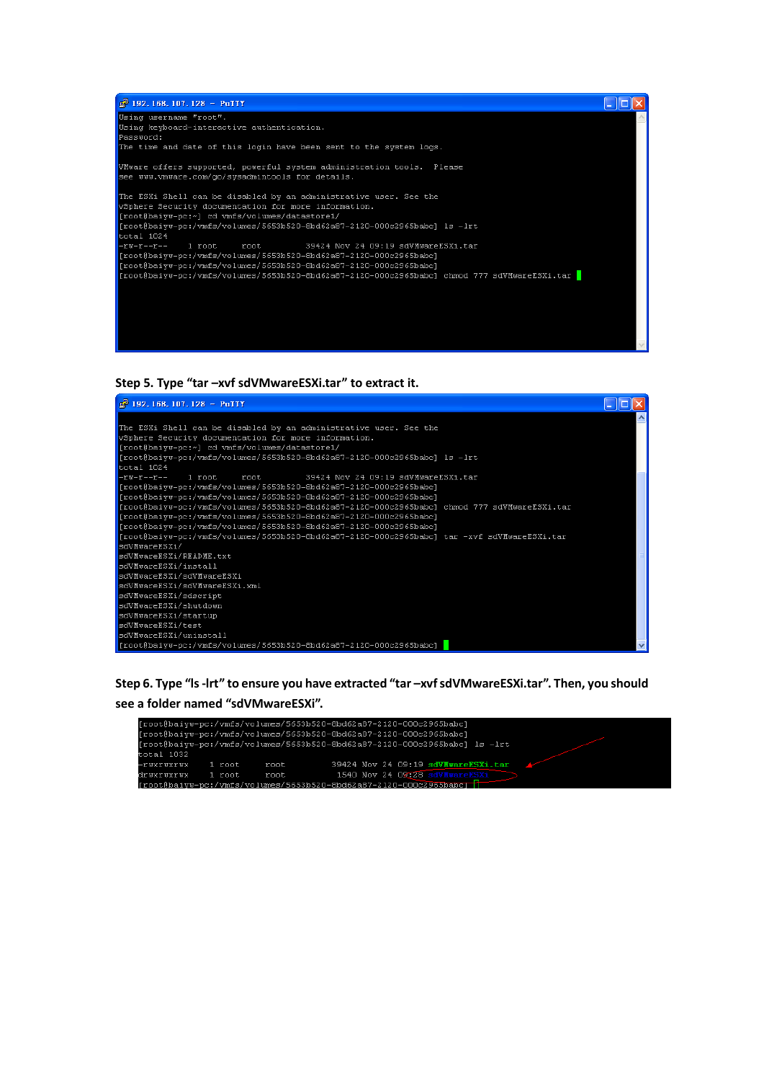

**Step 5. Type "tar –xvf sdVMwareESXi.tar" to extract it.**



**Step 6. Type "ls -lrt" to ensure you have extracted "tar –xvf sdVMwareESXi.tar". Then, you should see a folder named "sdVMwareESXi".**

|            |        |      | [root@baivw-pc:/vmfs/volumes/5653b520-8bd62a87-2120-000c2965babc]         |  |
|------------|--------|------|---------------------------------------------------------------------------|--|
|            |        |      | [root@baivw-pc:/vmfs/volumes/5653b520-8bd62a87-2120-000c2965babc]         |  |
|            |        |      | froot@baivw-pc:/vmfs/volumes/5653b520-8bd62a87-2120-000c2965babcl_ls_-lrt |  |
| total 1032 |        |      |                                                                           |  |
| -ruxruxrux | 1 root | root | 39424 Nov 24 09:19 sdVMwareESXi.tar                                       |  |
| drwxrwxrwx | 1 root | root | 1540 Nov 24 09:28 sdVHwareESXi                                            |  |
|            |        |      | $Inot \&$ haivw-nc:/vmfs/volumes/5653b520-8bd62a87-2120-000c2965babcli    |  |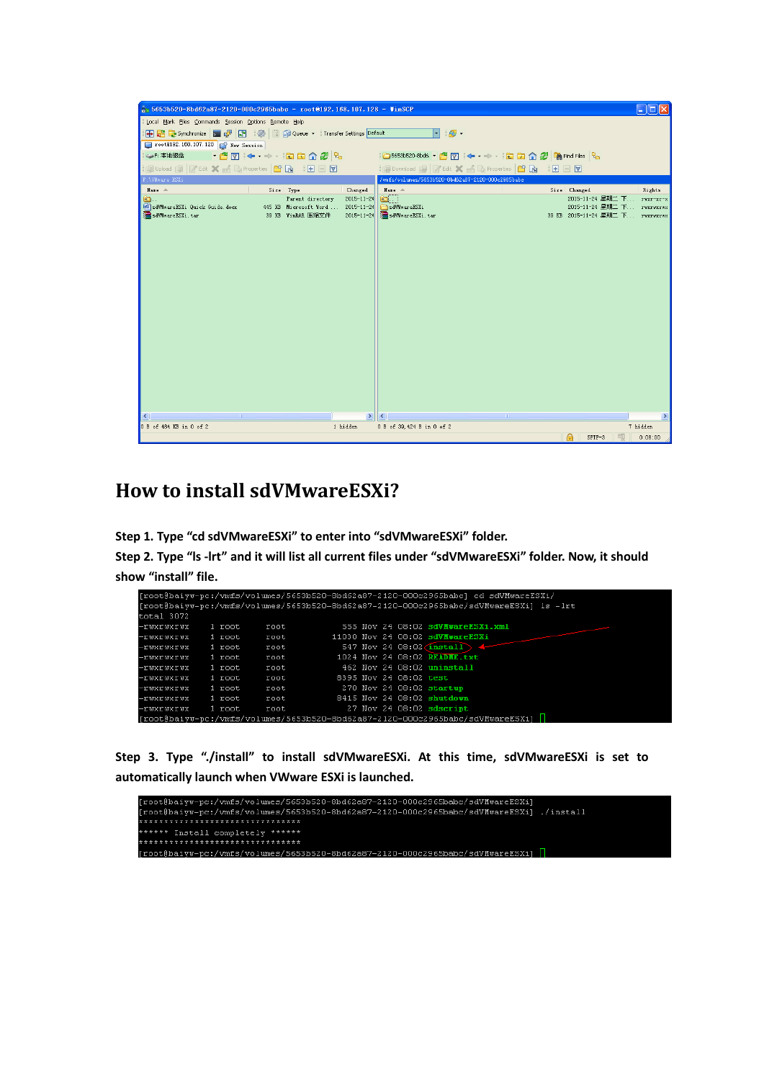| $\frac{1}{2}$ 5653b520-8bd62a87-2120-000c2965babc - root@192.168.107.128 - VinSCP                                       |                                                                |                                                          |                                        |                                                                                              | m             |  |  |  |  |
|-------------------------------------------------------------------------------------------------------------------------|----------------------------------------------------------------|----------------------------------------------------------|----------------------------------------|----------------------------------------------------------------------------------------------|---------------|--|--|--|--|
| Local Mark Eiles Commands Session Options Remote Help                                                                   |                                                                |                                                          |                                        |                                                                                              |               |  |  |  |  |
| 中居 Synchronize 国 ア 同 後 同 命 Queue v Transfer Settings Default<br>$\mathcal{B}$ .                                         |                                                                |                                                          |                                        |                                                                                              |               |  |  |  |  |
| root@192.168.107.128 New Session                                                                                        |                                                                |                                                          |                                        |                                                                                              |               |  |  |  |  |
| • 27 + → · 28 42 2<br>SDF: 本地磁盘                                                                                         |                                                                |                                                          |                                        |                                                                                              |               |  |  |  |  |
| <b>Bupload BECK X of La Properties   Di B</b>   H   H   V<br>  Repownload Re   Z' Edit X no Do Properties   白 同   日 □ 回 |                                                                |                                                          |                                        |                                                                                              |               |  |  |  |  |
| F:\VMware ESXi<br>/wmfs/volumes/5653b520-8bd62a87-2120-000c2965babc                                                     |                                                                |                                                          |                                        |                                                                                              |               |  |  |  |  |
| Name -                                                                                                                  | Size Type                                                      | Changed                                                  | Name $-$                               | Size Changed                                                                                 | Rights        |  |  |  |  |
| Đ.<br>SdVMwareESXi Quick Guide.docx<br>sdVMwareESXi.tar                                                                 | Parent directory<br>445 KB Microsoft Word<br>39 KB WinRAR 压缩文件 | $2015 - 11 - 24$<br>$2015 - 11 - 24$<br>$2015 - 11 - 24$ | a.<br>sdVMwareESXi<br>sdVMwareESXi.tar | 2015-11-24 星期二 下 rwxr-xr-x<br>2015-11-24 星期二 下 rwxrwxrwx<br>39 KB 2015-11-24 星期二 下 rwxrwxrwx |               |  |  |  |  |
|                                                                                                                         |                                                                |                                                          |                                        |                                                                                              |               |  |  |  |  |
|                                                                                                                         |                                                                | $\rightarrow$                                            | K                                      |                                                                                              | $\rightarrow$ |  |  |  |  |
| 0 B of 484 KB in 0 of 2                                                                                                 |                                                                | 1 hidden                                                 | 0 B of 39, 424 B in 0 of 2             |                                                                                              | 7 hidden      |  |  |  |  |
|                                                                                                                         |                                                                |                                                          |                                        | SFTP-3                                                                                       | 0:08:00       |  |  |  |  |

## **How to install sdVMwareESXi?**

**Step 1. Type "cd sdVMwareESXi" to enter into "sdVMwareESXi" folder.**

**Step 2. Type "ls -lrt" and it will list all current files under "sdVMwareESXi" folder. Now, it should show "install" file.** 

|            |        |      |  |                        | [root@baiyw-pc:/vmfs/volumes/5653b520-8bd62a87-2120-000c2965babc] cd sdVMwareESXi/     |
|------------|--------|------|--|------------------------|----------------------------------------------------------------------------------------|
|            |        |      |  |                        | [root@baivw-pc:/vmfs/volumes/5653b520-8bd62a87-2120-000c2965babc/sdVMwareESXi] ls -lrt |
| total 3072 |        |      |  |                        |                                                                                        |
| -ruxruxrux | 1 root | root |  |                        | 555 Nov 24 08:02 sdVHwareESXi.xml                                                      |
| -ruxruxrux | 1 root | root |  |                        | 11030 Nov 24 08:02 sdVMwareESXi                                                        |
| -ruxruxrux | 1 root | root |  |                        | 547 Nov 24 08:02 $\overline{\text{install}}$ 4                                         |
| -ruxruxrux | 1 root | root |  |                        | 1024 Nov 24 08:02 READHE.txt                                                           |
| -ruxruxrux | 1 root | root |  |                        | 462 Nov 24 08:02 uninstall                                                             |
| -ruxruxrux | 1 root | root |  | 8395 Nov 24 08:02 test |                                                                                        |
| -ruxruxrux | 1 root | root |  |                        | 270 Nov 24 08:02 startup                                                               |
| -ruxruxrux | 1 root | root |  |                        | 8415 Nov 24 08:02 shutdown                                                             |
| -ruxruxrux | 1 root | root |  |                        | 27 Nov 24 08:02 sdscript                                                               |
|            |        |      |  |                        | [root@baiyw-pc:/vmfs/volumes/5653b520-8bd62a87-2120-000c2965babc/sdVMwareESXi]         |

**Step 3. Type "./install" to install sdVMwareESXi. At this time, sdVMwareESXi is set to**